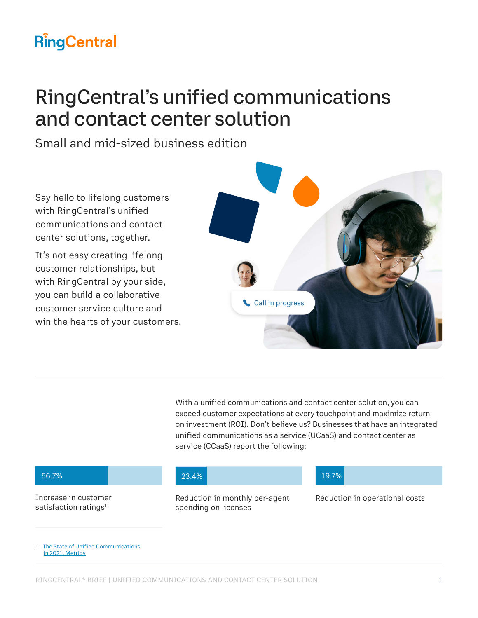# **RingCentral**

# RingCentral's unified communications and contact center solution

Small and mid-sized business edition

Say hello to lifelong customers with RingCentral's unified communications and contact center solutions, together.

It's not easy creating lifelong customer relationships, but with RingCentral by your side, you can build a collaborative customer service culture and win the hearts of your customers.



With a unified communications and contact center solution, you can exceed customer expectations at every touchpoint and maximize return on investment (ROI). Don't believe us? Businesses that have an integrated unified communications as a service (UCaaS) and contact center as service (CCaaS) report the following:

Increase in customer satisfaction ratings<sup>1</sup>

spending on licenses

#### 56.7% 23.4% 19.7%

Reduction in monthly per-agent Reduction in operational costs

1. [The State of Unified Communications](https://netstorage.ringcentral.com/research/state_of_unified_communications_2021.pdf)  [in 2021, Metrigy](https://netstorage.ringcentral.com/research/state_of_unified_communications_2021.pdf)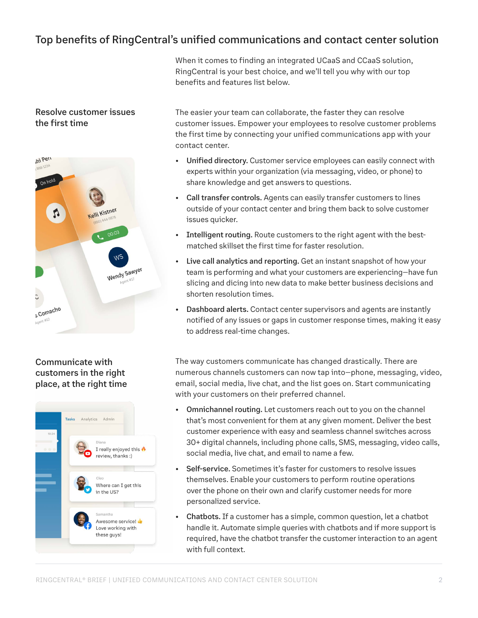## Top benefits of RingCentral's unified communications and contact center solution

When it comes to finding an integrated UCaaS and CCaaS solution, RingCentral is your best choice, and we'll tell you why with our top benefits and features list below.

### Resolve customer issues the first time



### Communicate with customers in the right place, at the right time



The easier your team can collaborate, the faster they can resolve customer issues. Empower your employees to resolve customer problems the first time by connecting your unified communications app with your contact center.

- Unified directory. Customer service employees can easily connect with experts within your organization (via messaging, video, or phone) to share knowledge and get answers to questions.
- Call transfer controls. Agents can easily transfer customers to lines outside of your contact center and bring them back to solve customer issues quicker.
- Intelligent routing. Route customers to the right agent with the bestmatched skillset the first time for faster resolution.
- Live call analytics and reporting. Get an instant snapshot of how your team is performing and what your customers are experiencing—have fun slicing and dicing into new data to make better business decisions and shorten resolution times.
- Dashboard alerts. Contact center supervisors and agents are instantly notified of any issues or gaps in customer response times, making it easy to address real-time changes.

The way customers communicate has changed drastically. There are numerous channels customers can now tap into—phone, messaging, video, email, social media, live chat, and the list goes on. Start communicating with your customers on their preferred channel.

- Omnichannel routing. Let customers reach out to you on the channel that's most convenient for them at any given moment. Deliver the best customer experience with easy and seamless channel switches across 30+ digital channels, including phone calls, SMS, messaging, video calls, social media, live chat, and email to name a few.
- Self-service. Sometimes it's faster for customers to resolve issues themselves. Enable your customers to perform routine operations over the phone on their own and clarify customer needs for more personalized service.
- Chatbots. If a customer has a simple, common question, let a chatbot handle it. Automate simple queries with chatbots and if more support is required, have the chatbot transfer the customer interaction to an agent with full context.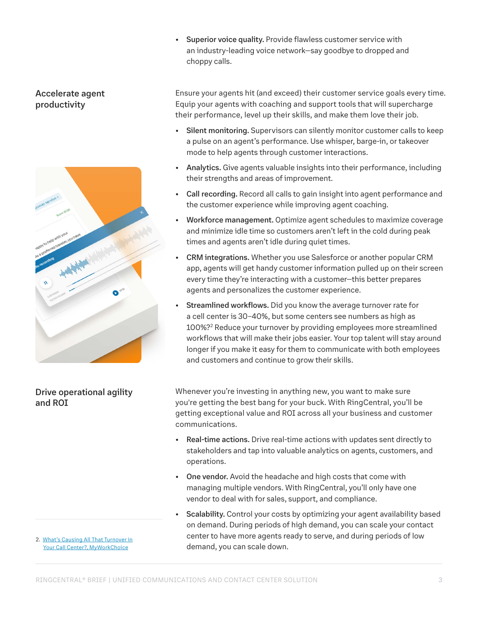• Superior voice quality. Provide flawless customer service with an industry-leading voice network—say goodbye to dropped and choppy calls.

#### Accelerate agent productivity



### Drive operational agility and ROI

Ensure your agents hit (and exceed) their customer service goals every time. Equip your agents with coaching and support tools that will supercharge their performance, level up their skills, and make them love their job.

- Silent monitoring. Supervisors can silently monitor customer calls to keep a pulse on an agent's performance. Use whisper, barge-in, or takeover mode to help agents through customer interactions.
- Analytics. Give agents valuable insights into their performance, including their strengths and areas of improvement.
- Call recording. Record all calls to gain insight into agent performance and the customer experience while improving agent coaching.
- Workforce management. Optimize agent schedules to maximize coverage and minimize idle time so customers aren't left in the cold during peak times and agents aren't idle during quiet times.
- CRM integrations. Whether you use Salesforce or another popular CRM app, agents will get handy customer information pulled up on their screen every time they're interacting with a customer—this better prepares agents and personalizes the customer experience.
- Streamlined workflows. Did you know the average turnover rate for a cell center is 30–40%, but some centers see numbers as high as 100%?2 Reduce your turnover by providing employees more streamlined workflows that will make their jobs easier. Your top talent will stay around longer if you make it easy for them to communicate with both employees and customers and continue to grow their skills.

Whenever you're investing in anything new, you want to make sure you're getting the best bang for your buck. With RingCentral, you'll be getting exceptional value and ROI across all your business and customer communications.

- Real-time actions. Drive real-time actions with updates sent directly to stakeholders and tap into valuable analytics on agents, customers, and operations.
- One vendor. Avoid the headache and high costs that come with managing multiple vendors. With RingCentral, you'll only have one vendor to deal with for sales, support, and compliance.
- Scalability. Control your costs by optimizing your agent availability based on demand. During periods of high demand, you can scale your contact center to have more agents ready to serve, and during periods of low demand, you can scale down.

2. [What's Causing All That Turnover in](https://myworkchoice.com/blog/whats-causing-turnover-in-your-call-center/)  [Your Call Center?, MyWorkChoice](https://myworkchoice.com/blog/whats-causing-turnover-in-your-call-center/)